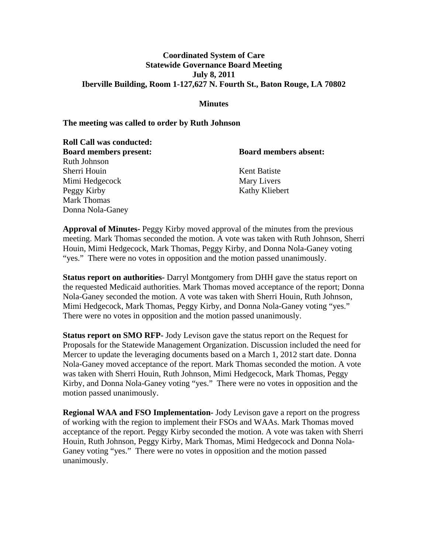# **Coordinated System of Care Statewide Governance Board Meeting July 8, 2011 Iberville Building, Room 1-127,627 N. Fourth St., Baton Rouge, LA 70802**

#### **Minutes**

#### **The meeting was called to order by Ruth Johnson**

**Roll Call was conducted:** 

**Board members present: Board members absent:**

Ruth Johnson Sherri Houin Kent Batiste Mimi Hedgecock Mary Livers Peggy Kirby Kathy Kliebert Mark Thomas Donna Nola-Ganey

**Approval of Minutes-** Peggy Kirby moved approval of the minutes from the previous meeting. Mark Thomas seconded the motion. A vote was taken with Ruth Johnson, Sherri Houin, Mimi Hedgecock, Mark Thomas, Peggy Kirby, and Donna Nola-Ganey voting "yes." There were no votes in opposition and the motion passed unanimously.

**Status report on authorities-** Darryl Montgomery from DHH gave the status report on the requested Medicaid authorities. Mark Thomas moved acceptance of the report; Donna Nola-Ganey seconded the motion. A vote was taken with Sherri Houin, Ruth Johnson, Mimi Hedgecock, Mark Thomas, Peggy Kirby, and Donna Nola-Ganey voting "yes." There were no votes in opposition and the motion passed unanimously.

**Status report on SMO RFP-** Jody Levison gave the status report on the Request for Proposals for the Statewide Management Organization. Discussion included the need for Mercer to update the leveraging documents based on a March 1, 2012 start date. Donna Nola-Ganey moved acceptance of the report. Mark Thomas seconded the motion. A vote was taken with Sherri Houin, Ruth Johnson, Mimi Hedgecock, Mark Thomas, Peggy Kirby, and Donna Nola-Ganey voting "yes." There were no votes in opposition and the motion passed unanimously.

**Regional WAA and FSO Implementation-** Jody Levison gave a report on the progress of working with the region to implement their FSOs and WAAs. Mark Thomas moved acceptance of the report. Peggy Kirby seconded the motion. A vote was taken with Sherri Houin, Ruth Johnson, Peggy Kirby, Mark Thomas, Mimi Hedgecock and Donna Nola-Ganey voting "yes." There were no votes in opposition and the motion passed unanimously.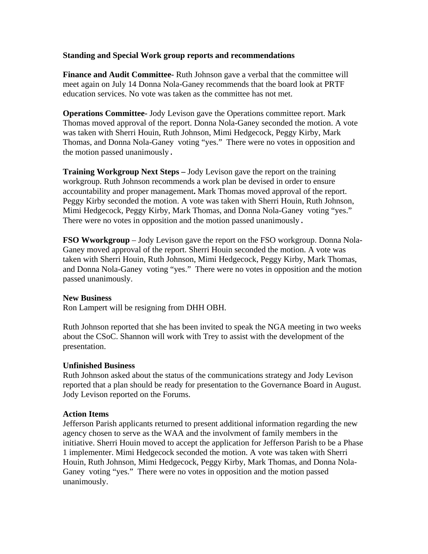# **Standing and Special Work group reports and recommendations**

**Finance and Audit Committee-** Ruth Johnson gave a verbal that the committee will meet again on July 14 Donna Nola-Ganey recommends that the board look at PRTF education services. No vote was taken as the committee has not met.

**Operations Committee-** Jody Levison gave the Operations committee report. Mark Thomas moved approval of the report. Donna Nola-Ganey seconded the motion. A vote was taken with Sherri Houin, Ruth Johnson, Mimi Hedgecock, Peggy Kirby, Mark Thomas, and Donna Nola-Ganey voting "yes." There were no votes in opposition and the motion passed unanimously.

**Training Workgroup Next Steps –** Jody Levison gave the report on the training workgroup. Ruth Johnson recommends a work plan be devised in order to ensure accountability and proper management**.** Mark Thomas moved approval of the report. Peggy Kirby seconded the motion. A vote was taken with Sherri Houin, Ruth Johnson, Mimi Hedgecock, Peggy Kirby, Mark Thomas, and Donna Nola-Ganey voting "yes." There were no votes in opposition and the motion passed unanimously.

**FSO Wworkgroup** – Jody Levison gave the report on the FSO workgroup. Donna Nola-Ganey moved approval of the report. Sherri Houin seconded the motion. A vote was taken with Sherri Houin, Ruth Johnson, Mimi Hedgecock, Peggy Kirby, Mark Thomas, and Donna Nola-Ganey voting "yes." There were no votes in opposition and the motion passed unanimously.

#### **New Business**

Ron Lampert will be resigning from DHH OBH.

Ruth Johnson reported that she has been invited to speak the NGA meeting in two weeks about the CSoC. Shannon will work with Trey to assist with the development of the presentation.

# **Unfinished Business**

Ruth Johnson asked about the status of the communications strategy and Jody Levison reported that a plan should be ready for presentation to the Governance Board in August. Jody Levison reported on the Forums.

# **Action Items**

Jefferson Parish applicants returned to present additional information regarding the new agency chosen to serve as the WAA and the involvment of family members in the initiative. Sherri Houin moved to accept the application for Jefferson Parish to be a Phase 1 implementer. Mimi Hedgecock seconded the motion. A vote was taken with Sherri Houin, Ruth Johnson, Mimi Hedgecock, Peggy Kirby, Mark Thomas, and Donna Nola-Ganey voting "yes." There were no votes in opposition and the motion passed unanimously.